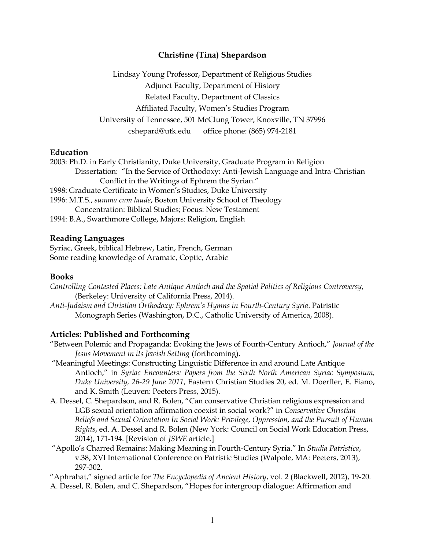## **Christine (Tina) Shepardson**

Lindsay Young Professor, Department of Religious Studies Adjunct Faculty, Department of History Related Faculty, Department of Classics Affiliated Faculty, Women's Studies Program University of Tennessee, 501 McClung Tower, Knoxville, TN 37996 cshepard@utk.edu office phone: (865) 974-2181

### **Education**

2003: Ph.D. in Early Christianity, Duke University, Graduate Program in Religion Dissertation: "In the Service of Orthodoxy: Anti-Jewish Language and Intra-Christian Conflict in the Writings of Ephrem the Syrian." 1998: Graduate Certificate in Women's Studies, Duke University 1996: M.T.S., *summa cum laude*, Boston University School of Theology Concentration: Biblical Studies; Focus: New Testament 1994: B.A., Swarthmore College, Majors: Religion, English

### **Reading Languages**

Syriac, Greek, biblical Hebrew, Latin, French, German Some reading knowledge of Aramaic, Coptic, Arabic

### **Books**

*Controlling Contested Places: Late Antique Antioch and the Spatial Politics of Religious Controversy*, (Berkeley: University of California Press, 2014).

*Anti-Judaism and Christian Orthodoxy: Ephrem's Hymns in Fourth-Century Syria*. Patristic Monograph Series (Washington, D.C., Catholic University of America, 2008).

### **Articles: Published and Forthcoming**

- "Between Polemic and Propaganda: Evoking the Jews of Fourth-Century Antioch," *Journal of the Jesus Movement in its Jewish Setting* (forthcoming).
- "Meaningful Meetings: Constructing Linguistic Difference in and around Late Antique Antioch," in *Syriac Encounters: Papers from the Sixth North American Syriac Symposium, Duke University, 26-29 June 2011*, Eastern Christian Studies 20, ed. M. Doerfler, E. Fiano, and K. Smith (Leuven: Peeters Press, 2015).
- A. Dessel, C. Shepardson, and R. Bolen, "Can conservative Christian religious expression and LGB sexual orientation affirmation coexist in social work?" in *Conservative Christian Beliefs and Sexual Orientation In Social Work: Privilege, Oppression, and the Pursuit of Human Rights*, ed. A. Dessel and R. Bolen (New York: Council on Social Work Education Press, 2014), 171-194. [Revision of *JSWE* article.]
- "Apollo's Charred Remains: Making Meaning in Fourth-Century Syria." In *Studia Patristica*, v.38, XVI International Conference on Patristic Studies (Walpole, MA: Peeters, 2013), 297-302.

"Aphrahat," signed article for *The Encyclopedia of Ancient History*, vol. 2 (Blackwell, 2012), 19-20.

A. Dessel, R. Bolen, and C. Shepardson, "Hopes for intergroup dialogue: Affirmation and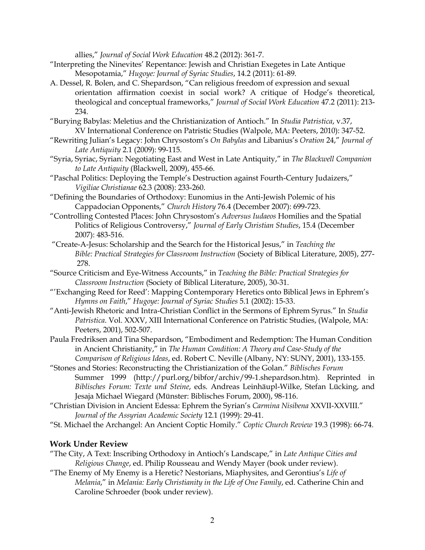allies," *Journal of Social Work Education* 48.2 (2012): 361-7.

- "Interpreting the Ninevites' Repentance: Jewish and Christian Exegetes in Late Antique Mesopotamia," *Hugoye: Journal of Syriac Studies*, 14.2 (2011): 61-89.
- A. Dessel, R. Bolen, and C. Shepardson, "Can religious freedom of expression and sexual orientation affirmation coexist in social work? A critique of Hodge's theoretical, theological and conceptual frameworks," *Journal of Social Work Education* 47.2 (2011): 213- 234.
- "Burying Babylas: Meletius and the Christianization of Antioch." In *Studia Patristica*, v.37, XV International Conference on Patristic Studies (Walpole, MA: Peeters, 2010): 347-52.
- "Rewriting Julian's Legacy: John Chrysostom's *On Babylas* and Libanius's *Oration* 24," *Journal of Late Antiquity* 2.1 (2009): 99-115.
- "Syria, Syriac, Syrian: Negotiating East and West in Late Antiquity," in *The Blackwell Companion to Late Antiquity* (Blackwell, 2009), 455-66.
- "Paschal Politics: Deploying the Temple's Destruction against Fourth-Century Judaizers," *Vigiliae Christianae* 62.3 (2008): 233-260.
- "Defining the Boundaries of Orthodoxy: Eunomius in the Anti-Jewish Polemic of his Cappadocian Opponents," *Church History* 76.4 (December 2007): 699-723.
- "Controlling Contested Places: John Chrysostom's *Adversus Iudaeos* Homilies and the Spatial Politics of Religious Controversy," *Journal of Early Christian Studies*, 15.4 (December 2007): 483-516.
- "Create-A-Jesus: Scholarship and the Search for the Historical Jesus," in *Teaching the Bible: Practical Strategies for Classroom Instruction* (Society of Biblical Literature, 2005), 277- 278.
- "Source Criticism and Eye-Witness Accounts," in *Teaching the Bible: Practical Strategies for Classroom Instruction* (Society of Biblical Literature, 2005), 30-31.
- "'Exchanging Reed for Reed': Mapping Contemporary Heretics onto Biblical Jews in Ephrem's *Hymns on Faith*," *Hugoye: Journal of Syriac Studies* 5.1 (2002): 15-33.
- "Anti-Jewish Rhetoric and Intra-Christian Conflict in the Sermons of Ephrem Syrus." In *Studia Patristica*. Vol. XXXV, XIII International Conference on Patristic Studies, (Walpole, MA: Peeters, 2001), 502-507.
- Paula Fredriksen and Tina Shepardson, "Embodiment and Redemption: The Human Condition in Ancient Christianity," in *The Human Condition: A Theory and Case-Study of the Comparison of Religious Ideas*, ed. Robert C. Neville (Albany, NY: SUNY, 2001), 133-155.
- "Stones and Stories: Reconstructing the Christianization of the Golan." *Biblisches Forum* Summer 1999 (http://purl.org/bibfor/archiv/99-1.shepardson.htm). Reprinted in *Biblisches Forum: Texte und Steine*, eds. Andreas Leinhäupl-Wilke, Stefan Lücking, and Jesaja Michael Wiegard (Münster: Biblisches Forum, 2000), 98-116.
- "Christian Division in Ancient Edessa: Ephrem the Syrian's *Carmina Nisibena* XXVII-XXVIII." *Journal of the Assyrian Academic Society* 12.1 (1999): 29-41.
- "St. Michael the Archangel: An Ancient Coptic Homily." *Coptic Church Review* 19.3 (1998): 66-74.

## **Work Under Review**

- "The City, A Text: Inscribing Orthodoxy in Antioch's Landscape," in *Late Antique Cities and Religious Change*, ed. Philip Rousseau and Wendy Mayer (book under review).
- "The Enemy of My Enemy is a Heretic? Nestorians, Miaphysites, and Gerontius's *Life of Melania*," in *Melania: Early Christianity in the Life of One Family*, ed. Catherine Chin and Caroline Schroeder (book under review).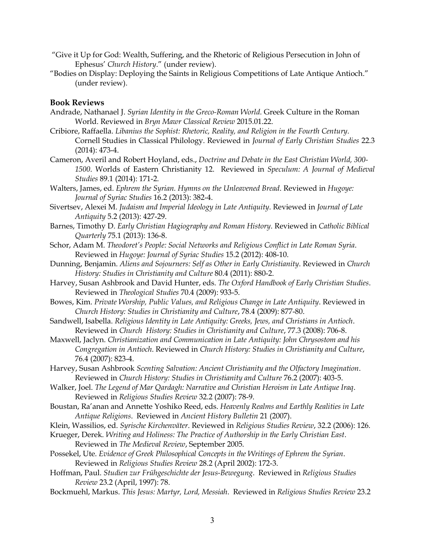- "Give it Up for God: Wealth, Suffering, and the Rhetoric of Religious Persecution in John of Ephesus' *Church History*." (under review).
- "Bodies on Display: Deploying the Saints in Religious Competitions of Late Antique Antioch." (under review).

## **Book Reviews**

- Andrade, Nathanael J. *Syrian Identity in the Greco-Roman World.* Greek Culture in the Roman World. Reviewed in *Bryn Mawr Classical Review* 2015.01.22.
- Cribiore, Raffaella. *Libanius the Sophist: Rhetoric, Reality, and Religion in the Fourth Century*. Cornell Studies in Classical Philology. Reviewed in *Journal of Early Christian Studies* 22.3 (2014): 473-4.
- Cameron, Averil and Robert Hoyland, eds., *Doctrine and Debate in the East Christian World, 300- 1500*. Worlds of Eastern Christianity 12. Reviewed in *Speculum: A Journal of Medieval Studies* 89.1 (2014): 171-2.
- Walters, James, ed. *Ephrem the Syrian. Hymns on the Unleavened Bread*. Reviewed in *Hugoye: Journal of Syriac Studies* 16.2 (2013): 382-4.
- Sivertsev, Alexei M. *Judaism and Imperial Ideology in Late Antiquity*. Reviewed in *Journal of Late Antiquity* 5.2 (2013): 427-29.
- Barnes, Timothy D. *Early Christian Hagiography and Roman History*. Reviewed in *Catholic Biblical Quarterly* 75.1 (2013): 136-8.
- Schor, Adam M. *Theodoret's People: Social Networks and Religious Conflict in Late Roman Syria*. Reviewed in *Hugoye: Journal of Syriac Studies* 15.2 (2012): 408-10.
- Dunning, Benjamin. *Aliens and Sojourners: Self as Other in Early Christianity*. Reviewed in *Church History: Studies in Christianity and Culture* 80.4 (2011): 880-2.
- Harvey, Susan Ashbrook and David Hunter, eds. *The Oxford Handbook of Early Christian Studies*. Reviewed in *Theological Studies* 70.4 (2009): 933-5.
- Bowes, Kim. *Private Worship, Public Values, and Religious Change in Late Antiquity*. Reviewed in *Church History: Studies in Christianity and Culture*, 78.4 (2009): 877-80.
- Sandwell, Isabella. *Religious Identity in Late Antiquity: Greeks, Jews, and Christians in Antioch*. Reviewed in *Church History: Studies in Christianity and Culture*, 77.3 (2008): 706-8.
- Maxwell, Jaclyn. *Christianization and Communication in Late Antiquity: John Chrysostom and his Congregation in Antioch*. Reviewed in *Church History: Studies in Christianity and Culture*, 76.4 (2007): 823-4.
- Harvey, Susan Ashbrook *Scenting Salvation: Ancient Christianity and the Olfactory Imagination*. Reviewed in *Church History: Studies in Christianity and Culture* 76.2 (2007): 403-5.
- Walker, Joel. *The Legend of Mar Qardagh: Narrative and Christian Heroism in Late Antique Iraq*. Reviewed in *Religious Studies Review* 32.2 (2007): 78-9.
- Boustan, Ra'anan and Annette Yoshiko Reed, eds. *Heavenly Realms and Earthly Realities in Late Antique Religions*. Reviewed in *Ancient History Bulletin* 21 (2007).
- Klein, Wassilios, ed. *Syrische Kirchenväter*. Reviewed in *Religious Studies Review*, 32.2 (2006): 126.
- Krueger, Derek. *Writing and Holiness: The Practice of Authorship in the Early Christian East*. Reviewed in *The Medieval Review*, September 2005.
- Possekel, Ute. *Evidence of Greek Philosophical Concepts in the Writings of Ephrem the Syrian*. Reviewed in *Religious Studies Review* 28.2 (April 2002): 172-3.
- Hoffman, Paul. *Studien zur Frühgeschichte der Jesus-Bewegung*. Reviewed in *Religious Studies Review* 23.2 (April, 1997): 78.
- Bockmuehl, Markus. *This Jesus: Martyr, Lord, Messiah*. Reviewed in *Religious Studies Review* 23.2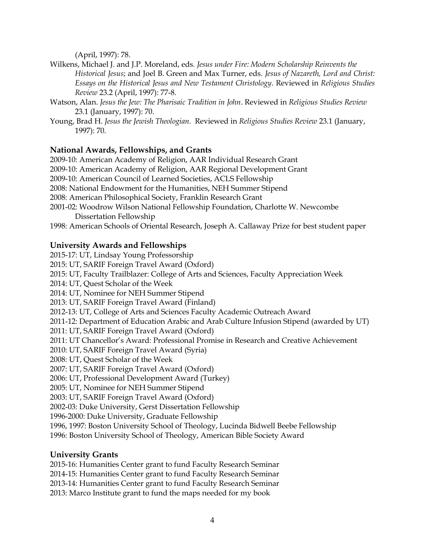(April, 1997): 78.

- Wilkens, Michael J. and J.P. Moreland, eds. *Jesus under Fire: Modern Scholarship Reinvents the Historical Jesus*; and Joel B. Green and Max Turner, eds. *Jesus of Nazareth, Lord and Christ: Essays on the Historical Jesus and New Testament Christology*. Reviewed in *Religious Studies Review* 23.2 (April, 1997): 77-8.
- Watson, Alan. *Jesus the Jew: The Pharisaic Tradition in John*. Reviewed in *Religious Studies Review* 23.1 (January, 1997): 70.
- Young, Brad H. *Jesus the Jewish Theologian*. Reviewed in *Religious Studies Review* 23.1 (January, 1997): 70.

# **National Awards, Fellowships, and Grants**

2009-10: American Academy of Religion, AAR Individual Research Grant 2009-10: American Academy of Religion, AAR Regional Development Grant 2009-10: American Council of Learned Societies, ACLS Fellowship 2008: National Endowment for the Humanities, NEH Summer Stipend 2008: American Philosophical Society, Franklin Research Grant 2001-02: Woodrow Wilson National Fellowship Foundation, Charlotte W. Newcombe Dissertation Fellowship 1998: American Schools of Oriental Research, Joseph A. Callaway Prize for best student paper

# **University Awards and Fellowships**

2015-17: UT, Lindsay Young Professorship 2015: UT, SARIF Foreign Travel Award (Oxford) 2015: UT, Faculty Trailblazer: College of Arts and Sciences, Faculty Appreciation Week 2014: UT, Quest Scholar of the Week 2014: UT, Nominee for NEH Summer Stipend 2013: UT, SARIF Foreign Travel Award (Finland) 2012-13: UT, College of Arts and Sciences Faculty Academic Outreach Award 2011-12: Department of Education Arabic and Arab Culture Infusion Stipend (awarded by UT) 2011: UT, SARIF Foreign Travel Award (Oxford) 2011: UT Chancellor's Award: Professional Promise in Research and Creative Achievement 2010: UT, SARIF Foreign Travel Award (Syria) 2008: UT, Quest Scholar of the Week 2007: UT, SARIF Foreign Travel Award (Oxford) 2006: UT, Professional Development Award (Turkey) 2005: UT, Nominee for NEH Summer Stipend 2003: UT, SARIF Foreign Travel Award (Oxford) 2002-03: Duke University, Gerst Dissertation Fellowship 1996-2000: Duke University, Graduate Fellowship 1996, 1997: Boston University School of Theology, Lucinda Bidwell Beebe Fellowship 1996: Boston University School of Theology, American Bible Society Award

# **University Grants**

2015-16: Humanities Center grant to fund Faculty Research Seminar 2014-15: Humanities Center grant to fund Faculty Research Seminar 2013-14: Humanities Center grant to fund Faculty Research Seminar 2013: Marco Institute grant to fund the maps needed for my book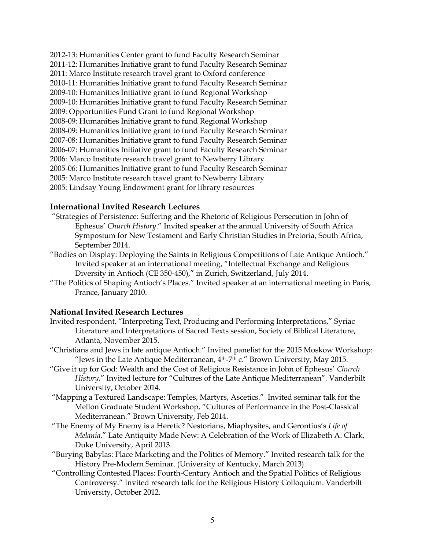2012-13: Humanities Center grant to fund Faculty Research Seminar 2011-12: Humanities Initiative grant to fund Faculty Research Seminar 2011: Marco Institute research travel grant to Oxford conference 2010-11: Humanities Initiative grant to fund Faculty Research Seminar 2009-10: Humanities Initiative grant to fund Regional Workshop 2009-10: Humanities Initiative grant to fund Faculty Research Seminar 2009: Opportunities Fund Grant to fund Regional Workshop 2008-09: Humanities Initiative grant to fund Regional Workshop 2008-09: Humanities Initiative grant to fund Faculty Research Seminar 2007-08: Humanities Initiative grant to fund Faculty Research Seminar 2006-07: Humanities Initiative grant to fund Faculty Research Seminar 2006: Marco Institute research travel grant to Newberry Library 2005-06: Humanities Initiative grant to fund Faculty Research Seminar 2005: Marco Institute research travel grant to Newberry Library 2005: Lindsay Young Endowment grant for library resources

## **International Invited Research Lectures**

- "Strategies of Persistence: Suffering and the Rhetoric of Religious Persecution in John of Ephesus' *Church History*." Invited speaker at the annual University of South Africa Symposium for New Testament and Early Christian Studies in Pretoria, South Africa, September 2014.
- "Bodies on Display: Deploying the Saints in Religious Competitions of Late Antique Antioch." Invited speaker at an international meeting, "Intellectual Exchange and Religious Diversity in Antioch (CE 350-450)," in Zurich, Switzerland, July 2014.
- "The Politics of Shaping Antioch's Places." Invited speaker at an international meeting in Paris, France, January 2010.

# **National Invited Research Lectures**

- Invited respondent, "Interpreting Text, Producing and Performing Interpretations," Syriac Literature and Interpretations of Sacred Texts session, Society of Biblical Literature, Atlanta, November 2015.
- "Christians and Jews in late antique Antioch." Invited panelist for the 2015 Moskow Workshop: "Jews in the Late Antique Mediterranean, 4th-7th c." Brown University, May 2015.
- "Give it up for God: Wealth and the Cost of Religious Resistance in John of Ephesus' *Church History*." Invited lecture for "Cultures of the Late Antique Mediterranean". Vanderbilt University, October 2014.
- "Mapping a Textured Landscape: Temples, Martyrs, Ascetics." Invited seminar talk for the Mellon Graduate Student Workshop, "Cultures of Performance in the Post-Classical Mediterranean." Brown University, Feb 2014.
- "The Enemy of My Enemy is a Heretic? Nestorians, Miaphysites, and Gerontius's *Life of Melania*." Late Antiquity Made New: A Celebration of the Work of Elizabeth A. Clark, Duke University, April 2013.
- "Burying Babylas: Place Marketing and the Politics of Memory." Invited research talk for the History Pre-Modern Seminar. (University of Kentucky, March 2013).
- "Controlling Contested Places: Fourth-Century Antioch and the Spatial Politics of Religious Controversy." Invited research talk for the Religious History Colloquium. Vanderbilt University, October 2012.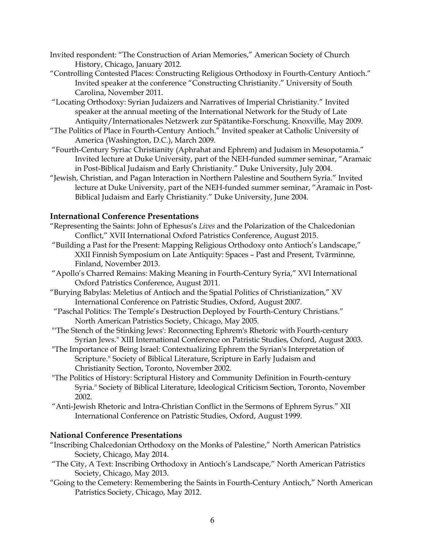Invited respondent: "The Construction of Arian Memories," American Society of Church History, Chicago, January 2012.

- "Controlling Contested Places: Constructing Religious Orthodoxy in Fourth-Century Antioch." Invited speaker at the conference "Constructing Christianity." University of South Carolina, November 2011.
- "Locating Orthodoxy: Syrian Judaizers and Narratives of Imperial Christianity." Invited speaker at the annual meeting of the International Network for the Study of Late Antiquity/Internationales Netzwerk zur Spätantike-Forschung. Knoxville, May 2009.
- "The Politics of Place in Fourth-Century Antioch." Invited speaker at Catholic University of America (Washington, D.C.), March 2009.
- "Fourth-Century Syriac Christianity (Aphrahat and Ephrem) and Judaism in Mesopotamia." Invited lecture at Duke University, part of the NEH-funded summer seminar, "Aramaic in Post-Biblical Judaism and Early Christianity." Duke University, July 2004.
- "Jewish, Christian, and Pagan Interaction in Northern Palestine and Southern Syria." Invited lecture at Duke University, part of the NEH-funded summer seminar, "Aramaic in Post-Biblical Judaism and Early Christianity." Duke University, June 2004.

# **International Conference Presentations**

- "Representing the Saints: John of Ephesus's *Lives* and the Polarization of the Chalcedonian Conflict," XVII International Oxford Patristics Conference, August 2015.
- "Building a Past for the Present: Mapping Religious Orthodoxy onto Antioch's Landscape," XXII Finnish Symposium on Late Antiquity: Spaces – Past and Present, Tvärminne, Finland, November 2013.
- "Apollo's Charred Remains: Making Meaning in Fourth-Century Syria," XVI International Oxford Patristics Conference, August 2011.
- "Burying Babylas: Meletius of Antioch and the Spatial Politics of Christianization," XV International Conference on Patristic Studies, Oxford, August 2007.
- "Paschal Politics: The Temple's Destruction Deployed by Fourth-Century Christians." North American Patristics Society, Chicago, May 2005.
- "'The Stench of the Stinking Jews': Reconnecting Ephrem's Rhetoric with Fourth-century Syrian Jews." XIII International Conference on Patristic Studies, Oxford, August 2003.
- "The Importance of Being Israel: Contextualizing Ephrem the Syrian's Interpretation of Scripture." Society of Biblical Literature, Scripture in Early Judaism and Christianity Section, Toronto, November 2002.
- "The Politics of History: Scriptural History and Community Definition in Fourth-century Syria." Society of Biblical Literature, Ideological Criticism Section, Toronto, November 2002.
- "Anti-Jewish Rhetoric and Intra-Christian Conflict in the Sermons of Ephrem Syrus." XII International Conference on Patristic Studies, Oxford, August 1999.

# **National Conference Presentations**

- "Inscribing Chalcedonian Orthodoxy on the Monks of Palestine," North American Patristics Society, Chicago, May 2014.
- "The City, A Text: Inscribing Orthodoxy in Antioch's Landscape," North American Patristics Society, Chicago, May 2013.
- "Going to the Cemetery: Remembering the Saints in Fourth-Century Antioch," North American Patristics Society, Chicago, May 2012.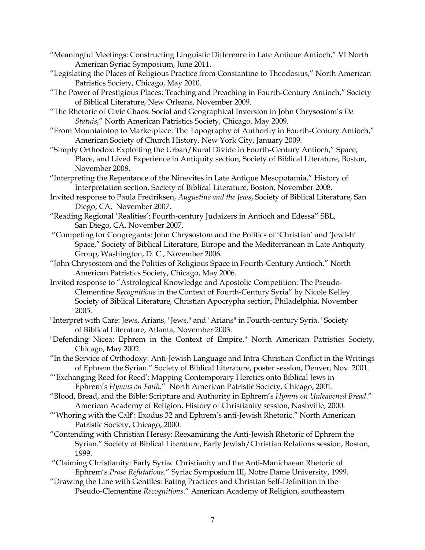- "Meaningful Meetings: Constructing Linguistic Difference in Late Antique Antioch," VI North American Syriac Symposium, June 2011.
- "Legislating the Places of Religious Practice from Constantine to Theodosius," North American Patristics Society, Chicago, May 2010.
- "The Power of Prestigious Places: Teaching and Preaching in Fourth-Century Antioch," Society of Biblical Literature, New Orleans, November 2009.
- "The Rhetoric of Civic Chaos: Social and Geographical Inversion in John Chrysostom's *De Statuis*," North American Patristics Society, Chicago, May 2009.
- "From Mountaintop to Marketplace: The Topography of Authority in Fourth-Century Antioch," American Society of Church History, New York City, January 2009.
- "Simply Orthodox: Exploiting the Urban/Rural Divide in Fourth-Century Antioch," Space, Place, and Lived Experience in Antiquity section, Society of Biblical Literature, Boston, November 2008.
- "Interpreting the Repentance of the Ninevites in Late Antique Mesopotamia," History of Interpretation section, Society of Biblical Literature, Boston, November 2008.
- Invited response to Paula Fredriksen, *Augustine and the Jews*, Society of Biblical Literature, San Diego, CA, November 2007.
- "Reading Regional 'Realities': Fourth-century Judaizers in Antioch and Edessa" SBL, San Diego, CA, November 2007.
- "Competing for Congregants: John Chrysostom and the Politics of 'Christian' and 'Jewish' Space," Society of Biblical Literature, Europe and the Mediterranean in Late Antiquity Group, Washington, D. C., November 2006.
- "John Chrysostom and the Politics of Religious Space in Fourth-Century Antioch." North American Patristics Society, Chicago, May 2006.
- Invited response to "Astrological Knowledge and Apostolic Competition: The Pseudo-Clementine *Recognitions* in the Context of Fourth-Century Syria" by Nicole Kelley. Society of Biblical Literature, Christian Apocrypha section, Philadelphia, November 2005.
- "Interpret with Care: Jews, Arians, "Jews," and "Arians" in Fourth-century Syria." Society of Biblical Literature, Atlanta, November 2003.
- "Defending Nicea: Ephrem in the Context of Empire." North American Patristics Society, Chicago, May 2002.
- "In the Service of Orthodoxy: Anti-Jewish Language and Intra-Christian Conflict in the Writings of Ephrem the Syrian." Society of Biblical Literature, poster session, Denver, Nov. 2001.
- "'Exchanging Reed for Reed': Mapping Contemporary Heretics onto Biblical Jews in Ephrem's *Hymns on Faith*." North American Patristic Society, Chicago, 2001.
- "Blood, Bread, and the Bible: Scripture and Authority in Ephrem's *Hymns on Unleavened Bread*." American Academy of Religion, History of Christianity session, Nashville, 2000.
- "'Whoring with the Calf': Exodus 32 and Ephrem's anti-Jewish Rhetoric." North American Patristic Society, Chicago, 2000.
- "Contending with Christian Heresy: Reexamining the Anti-Jewish Rhetoric of Ephrem the Syrian." Society of Biblical Literature, Early Jewish/Christian Relations session, Boston, 1999.
- "Claiming Christianity: Early Syriac Christianity and the Anti-Manichaean Rhetoric of Ephrem's *Prose Refutations*." Syriac Symposium III, Notre Dame University, 1999.
- "Drawing the Line with Gentiles: Eating Practices and Christian Self-Definition in the Pseudo-Clementine *Recognitions*." American Academy of Religion, southeastern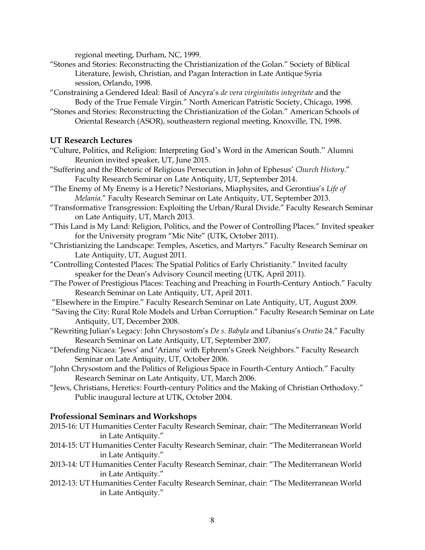regional meeting, Durham, NC, 1999.

- "Stones and Stories: Reconstructing the Christianization of the Golan." Society of Biblical Literature, Jewish, Christian, and Pagan Interaction in Late Antique Syria session, Orlando, 1998.
- "Constraining a Gendered Ideal: Basil of Ancyra's *de vera virginitatis integritate* and the Body of the True Female Virgin." North American Patristic Society, Chicago, 1998.
- "Stones and Stories: Reconstructing the Christianization of the Golan." American Schools of Oriental Research (ASOR), southeastern regional meeting, Knoxville, TN, 1998.

# **UT Research Lectures**

- "Culture, Politics, and Religion: Interpreting God's Word in the American South." Alumni Reunion invited speaker, UT, June 2015.
- "Suffering and the Rhetoric of Religious Persecution in John of Ephesus' *Church History*." Faculty Research Seminar on Late Antiquity, UT, September 2014.
- "The Enemy of My Enemy is a Heretic? Nestorians, Miaphysites, and Gerontius's *Life of Melania*." Faculty Research Seminar on Late Antiquity, UT, September 2013.
- "Transformative Transgression: Exploiting the Urban/Rural Divide." Faculty Research Seminar on Late Antiquity, UT, March 2013.
- "This Land is My Land: Religion, Politics, and the Power of Controlling Places." Invited speaker for the University program "Mic Nite" (UTK, October 2011).
- "Christianizing the Landscape: Temples, Ascetics, and Martyrs." Faculty Research Seminar on Late Antiquity, UT, August 2011.
- "Controlling Contested Places: The Spatial Politics of Early Christianity." Invited faculty speaker for the Dean's Advisory Council meeting (UTK, April 2011).
- "The Power of Prestigious Places: Teaching and Preaching in Fourth-Century Antioch." Faculty Research Seminar on Late Antiquity, UT, April 2011.
- "Elsewhere in the Empire." Faculty Research Seminar on Late Antiquity, UT, August 2009.
- "Saving the City: Rural Role Models and Urban Corruption." Faculty Research Seminar on Late Antiquity, UT, December 2008.
- "Rewriting Julian's Legacy: John Chrysostom's *De s. Babyla* and Libanius's *Oratio* 24." Faculty Research Seminar on Late Antiquity, UT, September 2007.
- "Defending Nicaea: 'Jews' and 'Arians' with Ephrem's Greek Neighbors." Faculty Research Seminar on Late Antiquity, UT, October 2006.
- "John Chrysostom and the Politics of Religious Space in Fourth-Century Antioch." Faculty Research Seminar on Late Antiquity, UT, March 2006.
- "Jews, Christians, Heretics: Fourth-century Politics and the Making of Christian Orthodoxy." Public inaugural lecture at UTK, October 2004.

# **Professional Seminars and Workshops**

- 2015-16: UT Humanities Center Faculty Research Seminar, chair: "The Mediterranean World in Late Antiquity."
- 2014-15: UT Humanities Center Faculty Research Seminar, chair: "The Mediterranean World in Late Antiquity."
- 2013-14: UT Humanities Center Faculty Research Seminar, chair: "The Mediterranean World in Late Antiquity."
- 2012-13: UT Humanities Center Faculty Research Seminar, chair: "The Mediterranean World in Late Antiquity."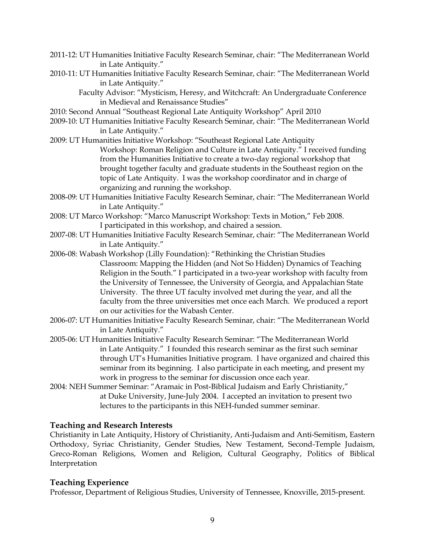- 2011-12: UT Humanities Initiative Faculty Research Seminar, chair: "The Mediterranean World in Late Antiquity."
- 2010-11: UT Humanities Initiative Faculty Research Seminar, chair: "The Mediterranean World in Late Antiquity."

 Faculty Advisor: "Mysticism, Heresy, and Witchcraft: An Undergraduate Conference in Medieval and Renaissance Studies"

- 2010: Second Annual "Southeast Regional Late Antiquity Workshop" April 2010
- 2009-10: UT Humanities Initiative Faculty Research Seminar, chair: "The Mediterranean World in Late Antiquity."
- 2009: UT Humanities Initiative Workshop: "Southeast Regional Late Antiquity Workshop: Roman Religion and Culture in Late Antiquity." I received funding from the Humanities Initiative to create a two-day regional workshop that brought together faculty and graduate students in the Southeast region on the topic of Late Antiquity. I was the workshop coordinator and in charge of organizing and running the workshop.
- 2008-09: UT Humanities Initiative Faculty Research Seminar, chair: "The Mediterranean World in Late Antiquity."
- 2008: UT Marco Workshop: "Marco Manuscript Workshop: Texts in Motion," Feb 2008. I participated in this workshop, and chaired a session.
- 2007-08: UT Humanities Initiative Faculty Research Seminar, chair: "The Mediterranean World in Late Antiquity."
- 2006-08: Wabash Workshop (Lilly Foundation): "Rethinking the Christian Studies Classroom: Mapping the Hidden (and Not So Hidden) Dynamics of Teaching Religion in the South." I participated in a two-year workshop with faculty from the University of Tennessee, the University of Georgia, and Appalachian State University. The three UT faculty involved met during the year, and all the faculty from the three universities met once each March. We produced a report on our activities for the Wabash Center.
- 2006-07: UT Humanities Initiative Faculty Research Seminar, chair: "The Mediterranean World in Late Antiquity."
- 2005-06: UT Humanities Initiative Faculty Research Seminar: "The Mediterranean World in Late Antiquity." I founded this research seminar as the first such seminar through UT's Humanities Initiative program. I have organized and chaired this seminar from its beginning. I also participate in each meeting, and present my work in progress to the seminar for discussion once each year.
- 2004: NEH Summer Seminar: "Aramaic in Post-Biblical Judaism and Early Christianity," at Duke University, June-July 2004. I accepted an invitation to present two lectures to the participants in this NEH-funded summer seminar.

## **Teaching and Research Interests**

Christianity in Late Antiquity, History of Christianity, Anti-Judaism and Anti-Semitism, Eastern Orthodoxy, Syriac Christianity, Gender Studies, New Testament, Second-Temple Judaism, Greco-Roman Religions, Women and Religion, Cultural Geography, Politics of Biblical Interpretation

## **Teaching Experience**

Professor, Department of Religious Studies, University of Tennessee, Knoxville, 2015-present.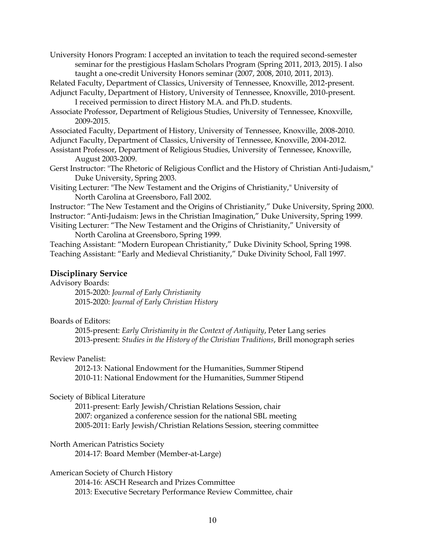University Honors Program: I accepted an invitation to teach the required second-semester seminar for the prestigious Haslam Scholars Program (Spring 2011, 2013, 2015). I also taught a one-credit University Honors seminar (2007, 2008, 2010, 2011, 2013).

Related Faculty, Department of Classics, University of Tennessee, Knoxville, 2012-present.

- Adjunct Faculty, Department of History, University of Tennessee, Knoxville, 2010-present. I received permission to direct History M.A. and Ph.D. students.
- Associate Professor, Department of Religious Studies, University of Tennessee, Knoxville, 2009-2015.

Associated Faculty, Department of History, University of Tennessee, Knoxville, 2008-2010.

Adjunct Faculty, Department of Classics, University of Tennessee, Knoxville, 2004-2012.

- Assistant Professor, Department of Religious Studies, University of Tennessee, Knoxville, August 2003-2009.
- Gerst Instructor: "The Rhetoric of Religious Conflict and the History of Christian Anti-Judaism," Duke University, Spring 2003.

Visiting Lecturer: "The New Testament and the Origins of Christianity," University of North Carolina at Greensboro, Fall 2002.

Instructor: "The New Testament and the Origins of Christianity," Duke University, Spring 2000. Instructor: "Anti-Judaism: Jews in the Christian Imagination," Duke University, Spring 1999. Visiting Lecturer: "The New Testament and the Origins of Christianity," University of

North Carolina at Greensboro, Spring 1999.

Teaching Assistant: "Modern European Christianity," Duke Divinity School, Spring 1998. Teaching Assistant: "Early and Medieval Christianity," Duke Divinity School, Fall 1997.

#### **Disciplinary Service**

## Advisory Boards:

2015-2020: *Journal of Early Christianity* 2015-2020: *Journal of Early Christian History*

#### Boards of Editors:

2015-present: *Early Christianity in the Context of Antiquity*, Peter Lang series 2013-present: *Studies in the History of the Christian Traditions*, Brill monograph series

#### Review Panelist:

2012-13: National Endowment for the Humanities, Summer Stipend 2010-11: National Endowment for the Humanities, Summer Stipend

#### Society of Biblical Literature

2011-present: Early Jewish/Christian Relations Session, chair 2007: organized a conference session for the national SBL meeting 2005-2011: Early Jewish/Christian Relations Session, steering committee

## North American Patristics Society

2014-17: Board Member (Member-at-Large)

### American Society of Church History

2014-16: ASCH Research and Prizes Committee 2013: Executive Secretary Performance Review Committee, chair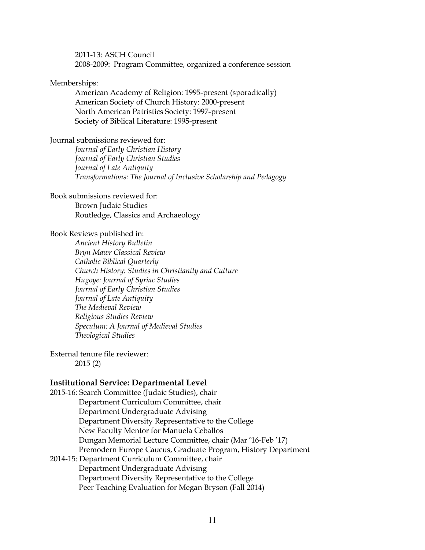2011-13: ASCH Council

2008-2009: Program Committee, organized a conference session

## Memberships:

American Academy of Religion: 1995-present (sporadically) American Society of Church History: 2000-present North American Patristics Society: 1997-present Society of Biblical Literature: 1995-present

### Journal submissions reviewed for:

*Journal of Early Christian History Journal of Early Christian Studies Journal of Late Antiquity Transformations: The Journal of Inclusive Scholarship and Pedagogy*

### Book submissions reviewed for:

Brown Judaic Studies Routledge, Classics and Archaeology

### Book Reviews published in:

*Ancient History Bulletin Bryn Mawr Classical Review Catholic Biblical Quarterly Church History: Studies in Christianity and Culture Hugoye: Journal of Syriac Studies Journal of Early Christian Studies Journal of Late Antiquity The Medieval Review Religious Studies Review Speculum: A Journal of Medieval Studies Theological Studies*

External tenure file reviewer: 2015 (2)

## **Institutional Service: Departmental Level**

2015-16: Search Committee (Judaic Studies), chair Department Curriculum Committee, chair Department Undergraduate Advising Department Diversity Representative to the College New Faculty Mentor for Manuela Ceballos Dungan Memorial Lecture Committee, chair (Mar '16-Feb '17) Premodern Europe Caucus, Graduate Program, History Department 2014-15: Department Curriculum Committee, chair Department Undergraduate Advising Department Diversity Representative to the College Peer Teaching Evaluation for Megan Bryson (Fall 2014)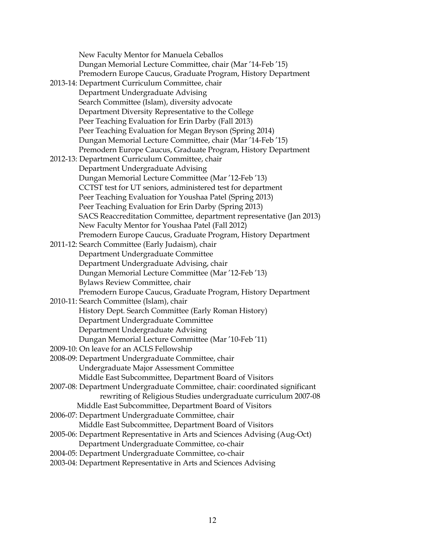| New Faculty Mentor for Manuela Ceballos                                     |
|-----------------------------------------------------------------------------|
| Dungan Memorial Lecture Committee, chair (Mar '14-Feb '15)                  |
| Premodern Europe Caucus, Graduate Program, History Department               |
| 2013-14: Department Curriculum Committee, chair                             |
| Department Undergraduate Advising                                           |
| Search Committee (Islam), diversity advocate                                |
| Department Diversity Representative to the College                          |
| Peer Teaching Evaluation for Erin Darby (Fall 2013)                         |
| Peer Teaching Evaluation for Megan Bryson (Spring 2014)                     |
| Dungan Memorial Lecture Committee, chair (Mar '14-Feb '15)                  |
| Premodern Europe Caucus, Graduate Program, History Department               |
| 2012-13: Department Curriculum Committee, chair                             |
| Department Undergraduate Advising                                           |
| Dungan Memorial Lecture Committee (Mar '12-Feb '13)                         |
| CCTST test for UT seniors, administered test for department                 |
| Peer Teaching Evaluation for Youshaa Patel (Spring 2013)                    |
| Peer Teaching Evaluation for Erin Darby (Spring 2013)                       |
| SACS Reaccreditation Committee, department representative (Jan 2013)        |
| New Faculty Mentor for Youshaa Patel (Fall 2012)                            |
| Premodern Europe Caucus, Graduate Program, History Department               |
| 2011-12: Search Committee (Early Judaism), chair                            |
| Department Undergraduate Committee                                          |
| Department Undergraduate Advising, chair                                    |
| Dungan Memorial Lecture Committee (Mar '12-Feb '13)                         |
| Bylaws Review Committee, chair                                              |
| Premodern Europe Caucus, Graduate Program, History Department               |
| 2010-11: Search Committee (Islam), chair                                    |
| History Dept. Search Committee (Early Roman History)                        |
| Department Undergraduate Committee                                          |
| Department Undergraduate Advising                                           |
| Dungan Memorial Lecture Committee (Mar '10-Feb '11)                         |
| 2009-10: On leave for an ACLS Fellowship                                    |
| 2008-09: Department Undergraduate Committee, chair                          |
| Undergraduate Major Assessment Committee                                    |
| Middle East Subcommittee, Department Board of Visitors                      |
| 2007-08: Department Undergraduate Committee, chair: coordinated significant |
| rewriting of Religious Studies undergraduate curriculum 2007-08             |
| Middle East Subcommittee, Department Board of Visitors                      |
| 2006-07: Department Undergraduate Committee, chair                          |
| Middle East Subcommittee, Department Board of Visitors                      |
| 2005-06: Department Representative in Arts and Sciences Advising (Aug-Oct)  |
| Department Undergraduate Committee, co-chair                                |
| 2004-05: Department Undergraduate Committee, co-chair                       |
| 2003-04: Department Representative in Arts and Sciences Advising            |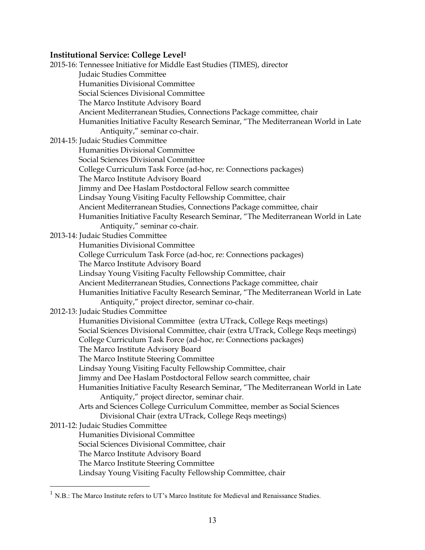## **Institutional Service: College Level<sup>1</sup>**

2015-16: Tennessee Initiative for Middle East Studies (TIMES), director Judaic Studies Committee Humanities Divisional Committee Social Sciences Divisional Committee The Marco Institute Advisory Board Ancient Mediterranean Studies, Connections Package committee, chair Humanities Initiative Faculty Research Seminar, "The Mediterranean World in Late Antiquity," seminar co-chair. 2014-15: Judaic Studies Committee Humanities Divisional Committee Social Sciences Divisional Committee College Curriculum Task Force (ad-hoc, re: Connections packages) The Marco Institute Advisory Board Jimmy and Dee Haslam Postdoctoral Fellow search committee Lindsay Young Visiting Faculty Fellowship Committee, chair Ancient Mediterranean Studies, Connections Package committee, chair Humanities Initiative Faculty Research Seminar, "The Mediterranean World in Late Antiquity," seminar co-chair. 2013-14: Judaic Studies Committee Humanities Divisional Committee College Curriculum Task Force (ad-hoc, re: Connections packages) The Marco Institute Advisory Board Lindsay Young Visiting Faculty Fellowship Committee, chair Ancient Mediterranean Studies, Connections Package committee, chair Humanities Initiative Faculty Research Seminar, "The Mediterranean World in Late Antiquity," project director, seminar co-chair. 2012-13: Judaic Studies Committee Humanities Divisional Committee (extra UTrack, College Reqs meetings) Social Sciences Divisional Committee, chair (extra UTrack, College Reqs meetings) College Curriculum Task Force (ad-hoc, re: Connections packages) The Marco Institute Advisory Board The Marco Institute Steering Committee Lindsay Young Visiting Faculty Fellowship Committee, chair Jimmy and Dee Haslam Postdoctoral Fellow search committee, chair Humanities Initiative Faculty Research Seminar, "The Mediterranean World in Late Antiquity," project director, seminar chair. Arts and Sciences College Curriculum Committee, member as Social Sciences Divisional Chair (extra UTrack, College Reqs meetings) 2011-12: Judaic Studies Committee Humanities Divisional Committee Social Sciences Divisional Committee, chair The Marco Institute Advisory Board The Marco Institute Steering Committee Lindsay Young Visiting Faculty Fellowship Committee, chair

 $\overline{a}$ 

<sup>&</sup>lt;sup>1</sup> N.B.: The Marco Institute refers to UT's Marco Institute for Medieval and Renaissance Studies.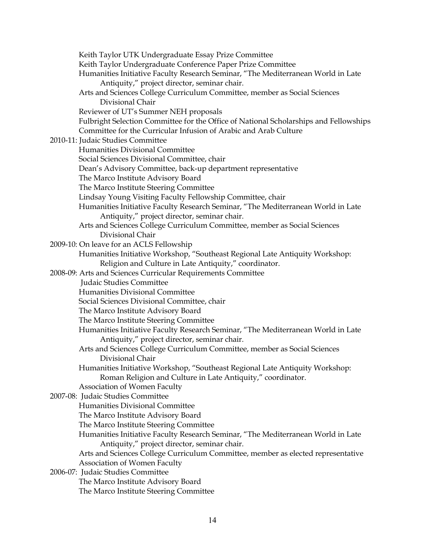Keith Taylor UTK Undergraduate Essay Prize Committee Keith Taylor Undergraduate Conference Paper Prize Committee Humanities Initiative Faculty Research Seminar, "The Mediterranean World in Late Antiquity," project director, seminar chair. Arts and Sciences College Curriculum Committee, member as Social Sciences Divisional Chair Reviewer of UT's Summer NEH proposals Fulbright Selection Committee for the Office of National Scholarships and Fellowships Committee for the Curricular Infusion of Arabic and Arab Culture 2010-11: Judaic Studies Committee Humanities Divisional Committee Social Sciences Divisional Committee, chair Dean's Advisory Committee, back-up department representative The Marco Institute Advisory Board The Marco Institute Steering Committee Lindsay Young Visiting Faculty Fellowship Committee, chair Humanities Initiative Faculty Research Seminar, "The Mediterranean World in Late Antiquity," project director, seminar chair. Arts and Sciences College Curriculum Committee, member as Social Sciences Divisional Chair 2009-10: On leave for an ACLS Fellowship Humanities Initiative Workshop, "Southeast Regional Late Antiquity Workshop: Religion and Culture in Late Antiquity," coordinator. 2008-09: Arts and Sciences Curricular Requirements Committee Judaic Studies Committee Humanities Divisional Committee Social Sciences Divisional Committee, chair The Marco Institute Advisory Board The Marco Institute Steering Committee Humanities Initiative Faculty Research Seminar, "The Mediterranean World in Late Antiquity," project director, seminar chair. Arts and Sciences College Curriculum Committee, member as Social Sciences Divisional Chair Humanities Initiative Workshop, "Southeast Regional Late Antiquity Workshop: Roman Religion and Culture in Late Antiquity," coordinator. Association of Women Faculty 2007-08: Judaic Studies Committee Humanities Divisional Committee The Marco Institute Advisory Board The Marco Institute Steering Committee Humanities Initiative Faculty Research Seminar, "The Mediterranean World in Late Antiquity," project director, seminar chair. Arts and Sciences College Curriculum Committee, member as elected representative Association of Women Faculty 2006-07: Judaic Studies Committee The Marco Institute Advisory Board The Marco Institute Steering Committee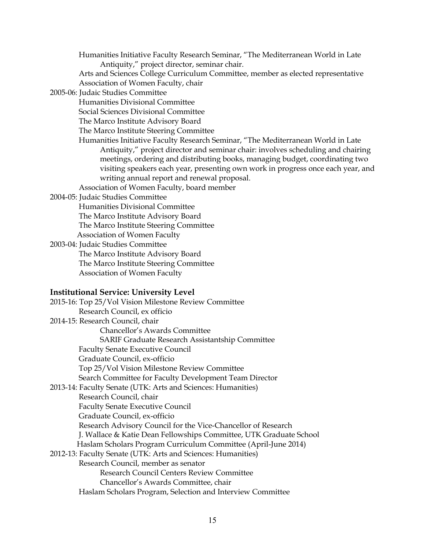Humanities Initiative Faculty Research Seminar, "The Mediterranean World in Late Antiquity," project director, seminar chair.

 Arts and Sciences College Curriculum Committee, member as elected representative Association of Women Faculty, chair

2005-06: Judaic Studies Committee

Humanities Divisional Committee

Social Sciences Divisional Committee

The Marco Institute Advisory Board

The Marco Institute Steering Committee

 Humanities Initiative Faculty Research Seminar, "The Mediterranean World in Late Antiquity," project director and seminar chair: involves scheduling and chairing meetings, ordering and distributing books, managing budget, coordinating two visiting speakers each year, presenting own work in progress once each year, and writing annual report and renewal proposal.

Association of Women Faculty, board member

2004-05: Judaic Studies Committee

Humanities Divisional Committee

The Marco Institute Advisory Board

The Marco Institute Steering Committee

Association of Women Faculty

2003-04: Judaic Studies Committee

 The Marco Institute Advisory Board The Marco Institute Steering Committee Association of Women Faculty

### **Institutional Service: University Level**

| 2015-16: Top 25/Vol Vision Milestone Review Committee              |
|--------------------------------------------------------------------|
| Research Council, ex officio                                       |
| 2014-15: Research Council, chair                                   |
| Chancellor's Awards Committee                                      |
| <b>SARIF Graduate Research Assistantship Committee</b>             |
| <b>Faculty Senate Executive Council</b>                            |
| Graduate Council, ex-officio                                       |
| Top 25/Vol Vision Milestone Review Committee                       |
| Search Committee for Faculty Development Team Director             |
| 2013-14: Faculty Senate (UTK: Arts and Sciences: Humanities)       |
| Research Council, chair                                            |
| <b>Faculty Senate Executive Council</b>                            |
| Graduate Council, ex-officio                                       |
| Research Advisory Council for the Vice-Chancellor of Research      |
| J. Wallace & Katie Dean Fellowships Committee, UTK Graduate School |
| Haslam Scholars Program Curriculum Committee (April-June 2014)     |
| 2012-13: Faculty Senate (UTK: Arts and Sciences: Humanities)       |
| Research Council, member as senator                                |
| <b>Research Council Centers Review Committee</b>                   |
| Chancellor's Awards Committee, chair                               |
| Haslam Scholars Program, Selection and Interview Committee         |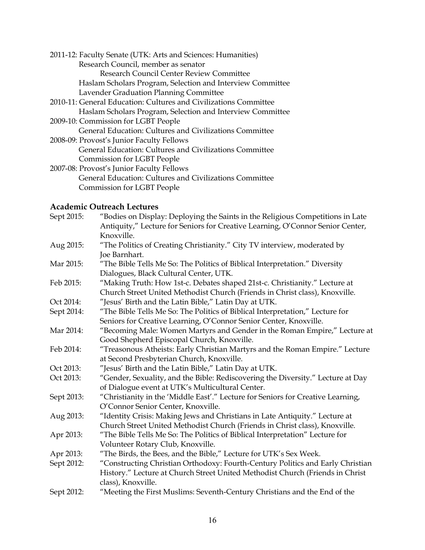# **Academic Outreach Lectures**

| Sept 2015: | "Bodies on Display: Deploying the Saints in the Religious Competitions in Late  |
|------------|---------------------------------------------------------------------------------|
|            | Antiquity," Lecture for Seniors for Creative Learning, O'Connor Senior Center,  |
|            | Knoxville.                                                                      |
| Aug 2015:  | "The Politics of Creating Christianity." City TV interview, moderated by        |
|            | Joe Barnhart.                                                                   |
| Mar 2015:  | "The Bible Tells Me So: The Politics of Biblical Interpretation." Diversity     |
|            | Dialogues, Black Cultural Center, UTK.                                          |
| Feb 2015:  | "Making Truth: How 1st-c. Debates shaped 21st-c. Christianity." Lecture at      |
|            | Church Street United Methodist Church (Friends in Christ class), Knoxville.     |
| Oct 2014:  | "Jesus' Birth and the Latin Bible," Latin Day at UTK.                           |
| Sept 2014: | "The Bible Tells Me So: The Politics of Biblical Interpretation," Lecture for   |
|            | Seniors for Creative Learning, O'Connor Senior Center, Knoxville.               |
| Mar 2014:  | "Becoming Male: Women Martyrs and Gender in the Roman Empire," Lecture at       |
|            | Good Shepherd Episcopal Church, Knoxville.                                      |
| Feb 2014:  | "Treasonous Atheists: Early Christian Martyrs and the Roman Empire." Lecture    |
|            | at Second Presbyterian Church, Knoxville.                                       |
| Oct 2013:  | "Jesus' Birth and the Latin Bible," Latin Day at UTK.                           |
| Oct 2013:  | "Gender, Sexuality, and the Bible: Rediscovering the Diversity." Lecture at Day |
|            | of Dialogue event at UTK's Multicultural Center.                                |
| Sept 2013: | "Christianity in the 'Middle East'." Lecture for Seniors for Creative Learning, |
|            | O'Connor Senior Center, Knoxville.                                              |
| Aug 2013:  | "Identity Crisis: Making Jews and Christians in Late Antiquity." Lecture at     |
|            | Church Street United Methodist Church (Friends in Christ class), Knoxville.     |
| Apr 2013:  | "The Bible Tells Me So: The Politics of Biblical Interpretation" Lecture for    |
|            | Volunteer Rotary Club, Knoxville.                                               |
| Apr 2013:  | "The Birds, the Bees, and the Bible," Lecture for UTK's Sex Week.               |
| Sept 2012: | "Constructing Christian Orthodoxy: Fourth-Century Politics and Early Christian  |
|            | History." Lecture at Church Street United Methodist Church (Friends in Christ   |
|            | class), Knoxville.                                                              |
| Sept 2012: | "Meeting the First Muslims: Seventh-Century Christians and the End of the       |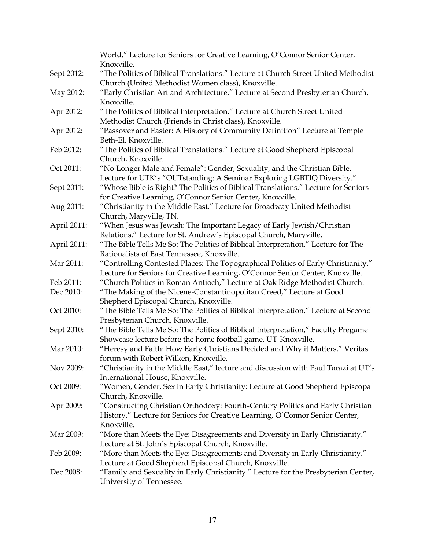|             | World." Lecture for Seniors for Creative Learning, O'Connor Senior Center,                                                                  |
|-------------|---------------------------------------------------------------------------------------------------------------------------------------------|
|             | Knoxville.                                                                                                                                  |
| Sept 2012:  | "The Politics of Biblical Translations." Lecture at Church Street United Methodist<br>Church (United Methodist Women class), Knoxville.     |
| May 2012:   | "Early Christian Art and Architecture." Lecture at Second Presbyterian Church,                                                              |
|             | Knoxville.                                                                                                                                  |
| Apr 2012:   | "The Politics of Biblical Interpretation." Lecture at Church Street United                                                                  |
|             | Methodist Church (Friends in Christ class), Knoxville.                                                                                      |
| Apr 2012:   | "Passover and Easter: A History of Community Definition" Lecture at Temple                                                                  |
|             | Beth-El, Knoxville.                                                                                                                         |
| Feb 2012:   | "The Politics of Biblical Translations." Lecture at Good Shepherd Episcopal                                                                 |
|             | Church, Knoxville.                                                                                                                          |
| Oct 2011:   | "No Longer Male and Female": Gender, Sexuality, and the Christian Bible.                                                                    |
|             | Lecture for UTK's "OUTstanding: A Seminar Exploring LGBTIQ Diversity."                                                                      |
| Sept 2011:  | "Whose Bible is Right? The Politics of Biblical Translations." Lecture for Seniors                                                          |
|             | for Creative Learning, O'Connor Senior Center, Knoxville.                                                                                   |
| Aug 2011:   | "Christianity in the Middle East." Lecture for Broadway United Methodist                                                                    |
|             | Church, Maryville, TN.                                                                                                                      |
| April 2011: | "When Jesus was Jewish: The Important Legacy of Early Jewish/Christian<br>Relations." Lecture for St. Andrew's Episcopal Church, Maryville. |
|             | "The Bible Tells Me So: The Politics of Biblical Interpretation." Lecture for The                                                           |
| April 2011: | Rationalists of East Tennessee, Knoxville.                                                                                                  |
| Mar 2011:   |                                                                                                                                             |
|             | "Controlling Contested Places: The Topographical Politics of Early Christianity."                                                           |
| Feb 2011:   | Lecture for Seniors for Creative Learning, O'Connor Senior Center, Knoxville.                                                               |
| Dec 2010:   | "Church Politics in Roman Antioch," Lecture at Oak Ridge Methodist Church.                                                                  |
|             | "The Making of the Nicene-Constantinopolitan Creed," Lecture at Good<br>Shepherd Episcopal Church, Knoxville.                               |
| Oct 2010:   | "The Bible Tells Me So: The Politics of Biblical Interpretation," Lecture at Second                                                         |
|             | Presbyterian Church, Knoxville.                                                                                                             |
| Sept 2010:  | "The Bible Tells Me So: The Politics of Biblical Interpretation," Faculty Pregame                                                           |
|             | Showcase lecture before the home football game, UT-Knoxville.                                                                               |
| Mar 2010:   | "Heresy and Faith: How Early Christians Decided and Why it Matters," Veritas                                                                |
|             | forum with Robert Wilken, Knoxville.                                                                                                        |
| Nov 2009:   | "Christianity in the Middle East," lecture and discussion with Paul Tarazi at UT's                                                          |
|             | International House, Knoxville.                                                                                                             |
| Oct 2009:   | "Women, Gender, Sex in Early Christianity: Lecture at Good Shepherd Episcopal                                                               |
|             | Church, Knoxville.                                                                                                                          |
| Apr 2009:   | "Constructing Christian Orthodoxy: Fourth-Century Politics and Early Christian                                                              |
|             | History." Lecture for Seniors for Creative Learning, O'Connor Senior Center,                                                                |
|             | Knoxville.                                                                                                                                  |
| Mar 2009:   | "More than Meets the Eye: Disagreements and Diversity in Early Christianity."                                                               |
|             | Lecture at St. John's Episcopal Church, Knoxville.                                                                                          |
| Feb 2009:   | "More than Meets the Eye: Disagreements and Diversity in Early Christianity."                                                               |
|             | Lecture at Good Shepherd Episcopal Church, Knoxville.                                                                                       |
| Dec 2008:   | "Family and Sexuality in Early Christianity." Lecture for the Presbyterian Center,                                                          |
|             | University of Tennessee.                                                                                                                    |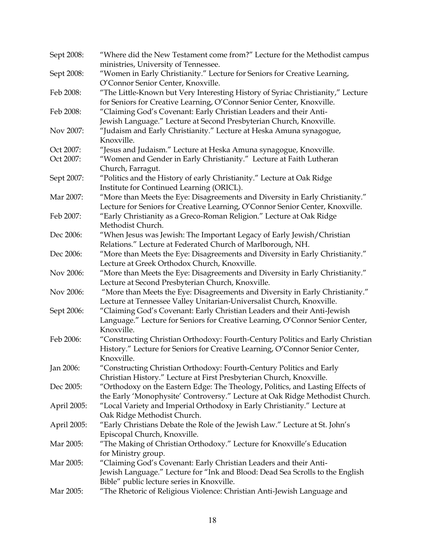| Sept 2008:             | "Where did the New Testament come from?" Lecture for the Methodist campus                                   |
|------------------------|-------------------------------------------------------------------------------------------------------------|
|                        | ministries, University of Tennessee.                                                                        |
| Sept 2008:             | "Women in Early Christianity." Lecture for Seniors for Creative Learning,                                   |
|                        | O'Connor Senior Center, Knoxville.                                                                          |
| Feb 2008:              | "The Little-Known but Very Interesting History of Syriac Christianity," Lecture                             |
|                        | for Seniors for Creative Learning, O'Connor Senior Center, Knoxville.                                       |
| Feb 2008:              | "Claiming God's Covenant: Early Christian Leaders and their Anti-                                           |
|                        | Jewish Language." Lecture at Second Presbyterian Church, Knoxville.                                         |
| Nov 2007:              | "Judaism and Early Christianity." Lecture at Heska Amuna synagogue,                                         |
|                        | Knoxville.                                                                                                  |
| Oct 2007:              | "Jesus and Judaism." Lecture at Heska Amuna synagogue, Knoxville.                                           |
| Oct 2007:              | "Women and Gender in Early Christianity." Lecture at Faith Lutheran                                         |
|                        | Church, Farragut.                                                                                           |
| Sept 2007:             | "Politics and the History of early Christianity." Lecture at Oak Ridge                                      |
|                        | Institute for Continued Learning (ORICL).                                                                   |
| Mar 2007:              | "More than Meets the Eye: Disagreements and Diversity in Early Christianity."                               |
|                        | Lecture for Seniors for Creative Learning, O'Connor Senior Center, Knoxville.                               |
| Feb 2007:              | "Early Christianity as a Greco-Roman Religion." Lecture at Oak Ridge                                        |
|                        | Methodist Church.                                                                                           |
| Dec 2006:              | "When Jesus was Jewish: The Important Legacy of Early Jewish/Christian                                      |
|                        | Relations." Lecture at Federated Church of Marlborough, NH.                                                 |
| Dec 2006:              | "More than Meets the Eye: Disagreements and Diversity in Early Christianity."                               |
|                        | Lecture at Greek Orthodox Church, Knoxville.                                                                |
| Nov 2006:              | "More than Meets the Eye: Disagreements and Diversity in Early Christianity."                               |
|                        | Lecture at Second Presbyterian Church, Knoxville.                                                           |
| Nov 2006:              | "More than Meets the Eye: Disagreements and Diversity in Early Christianity."                               |
|                        | Lecture at Tennessee Valley Unitarian-Universalist Church, Knoxville.                                       |
| Sept 2006:             | "Claiming God's Covenant: Early Christian Leaders and their Anti-Jewish                                     |
|                        | Language." Lecture for Seniors for Creative Learning, O'Connor Senior Center,                               |
|                        | Knoxville.                                                                                                  |
| Feb 2006:              | "Constructing Christian Orthodoxy: Fourth-Century Politics and Early Christian                              |
|                        | History." Lecture for Seniors for Creative Learning, O'Connor Senior Center,                                |
|                        | Knoxville.                                                                                                  |
| Jan 2006:              | "Constructing Christian Orthodoxy: Fourth-Century Politics and Early                                        |
|                        | Christian History." Lecture at First Presbyterian Church, Knoxville.                                        |
| Dec 2005:              | "Orthodoxy on the Eastern Edge: The Theology, Politics, and Lasting Effects of                              |
|                        | the Early 'Monophysite' Controversy." Lecture at Oak Ridge Methodist Church.                                |
| April 2005:            | "Local Variety and Imperial Orthodoxy in Early Christianity." Lecture at                                    |
|                        | Oak Ridge Methodist Church.                                                                                 |
| April 2005:            | "Early Christians Debate the Role of the Jewish Law." Lecture at St. John's<br>Episcopal Church, Knoxville. |
| Mar 2005:<br>Mar 2005: | "The Making of Christian Orthodoxy." Lecture for Knoxville's Education                                      |
|                        | for Ministry group.                                                                                         |
|                        | "Claiming God's Covenant: Early Christian Leaders and their Anti-                                           |
|                        | Jewish Language." Lecture for "Ink and Blood: Dead Sea Scrolls to the English                               |
|                        | Bible" public lecture series in Knoxville.                                                                  |
| Mar 2005:              | "The Rhetoric of Religious Violence: Christian Anti-Jewish Language and                                     |
|                        |                                                                                                             |